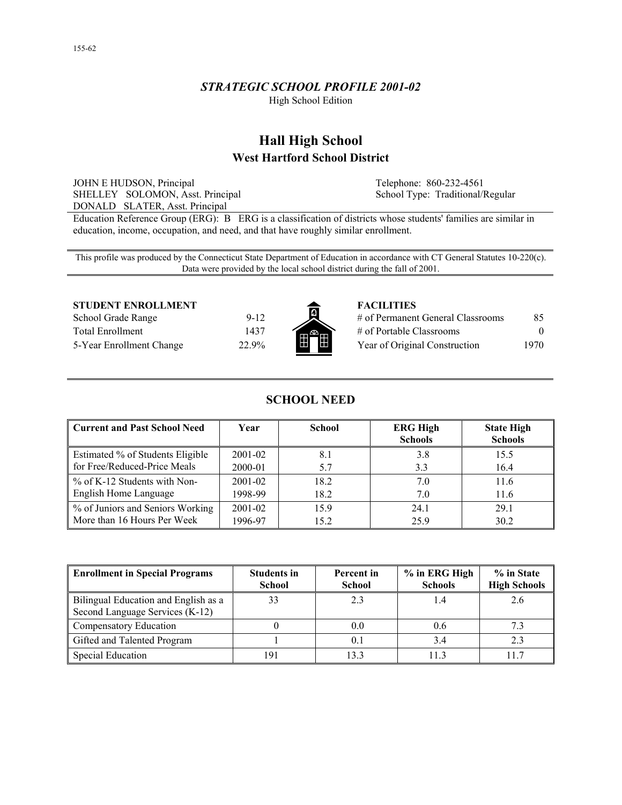# *STRATEGIC SCHOOL PROFILE 2001-02*

High School Edition

# **Hall High School West Hartford School District**

JOHN E HUDSON, Principal SHELLEY SOLOMON, Asst. Principal DONALD SLATER, Asst. Principal

Telephone: 860-232-4561 School Type: Traditional/Regular

Education Reference Group (ERG): B ERG is a classification of districts whose students' families are similar in education, income, occupation, and need, and that have roughly similar enrollment.

This profile was produced by the Connecticut State Department of Education in accordance with CT General Statutes 10-220(c). Data were provided by the local school district during the fall of 2001.

#### **STUDENT ENROLLMENT FACILITIES**

School Grade Range 9-12 Total Enrollment 1437 5-Year Enrollment Change 22.9%



| # of Permanent General Classrooms | 85       |
|-----------------------------------|----------|
| $\#$ of Portable Classrooms       | $\Omega$ |
| Year of Original Construction     | 1970     |

# **SCHOOL NEED**

| Current and Past School Need     | Year        | <b>School</b> | <b>ERG High</b><br><b>Schools</b> | <b>State High</b><br><b>Schools</b> |
|----------------------------------|-------------|---------------|-----------------------------------|-------------------------------------|
| Estimated % of Students Eligible | 2001-02     | 8.1           | 3.8                               | 15.5                                |
| for Free/Reduced-Price Meals     | 2000-01     | 5.7           | 3.3                               | 16.4                                |
| % of K-12 Students with Non-     | $2001 - 02$ | 18.2          | 7.0                               | 11.6                                |
| English Home Language            | 1998-99     | 18.2          | 7.0                               | 11.6                                |
| % of Juniors and Seniors Working | $2001 - 02$ | 15.9          | 24.1                              | 29.1                                |
| More than 16 Hours Per Week      | 1996-97     | 15.2          | 25.9                              | 30.2                                |

| <b>Enrollment in Special Programs</b>                                   | <b>Students in</b><br><b>School</b> | Percent in<br><b>School</b> | % in ERG High<br><b>Schools</b> | % in State<br><b>High Schools</b> |
|-------------------------------------------------------------------------|-------------------------------------|-----------------------------|---------------------------------|-----------------------------------|
| Bilingual Education and English as a<br>Second Language Services (K-12) |                                     | 2.3                         |                                 | 2.6                               |
| Compensatory Education                                                  |                                     | 0.0                         | 0.6                             |                                   |
| Gifted and Talented Program                                             |                                     | 0.1                         | 3.4                             |                                   |
| Special Education                                                       | 191                                 | 13.3                        | 113                             | 117                               |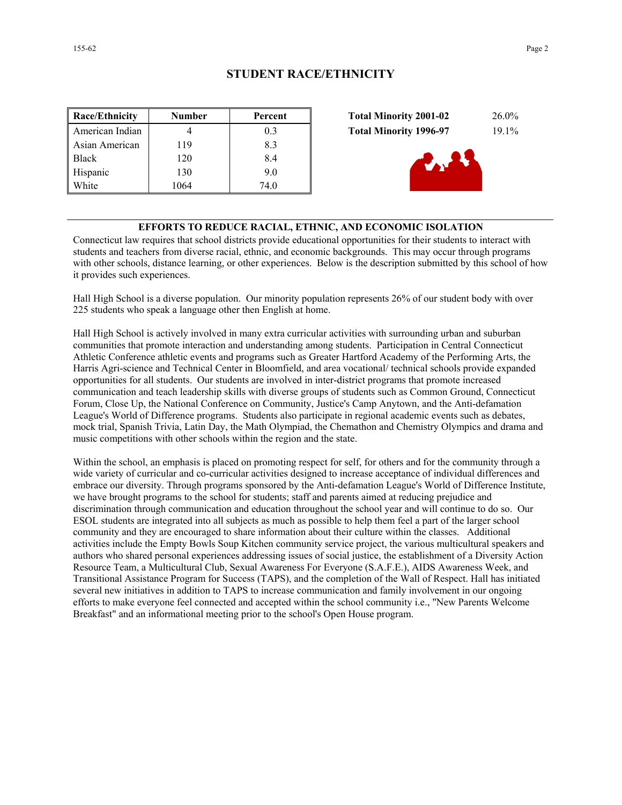| <b>Race/Ethnicity</b> | <b>Number</b> | Percent | 26.0%<br><b>Total Minority 2001-02</b>    |
|-----------------------|---------------|---------|-------------------------------------------|
| American Indian       |               | 0.3     | $19.1\%$<br><b>Total Minority 1996-97</b> |
| Asian American        | 119           | 8.3     |                                           |
| <b>Black</b>          | 120           | 8.4     | d. Av                                     |
| Hispanic              | 130           | 9.0     |                                           |
| White                 | 1064          | 74.0    |                                           |

| <b>Total Minority 2001-02</b> | $26.0\%$ |
|-------------------------------|----------|
| <b>Total Minority 1996-97</b> | $19.1\%$ |
| <b>R. 27</b>                  |          |

## **EFFORTS TO REDUCE RACIAL, ETHNIC, AND ECONOMIC ISOLATION**

Connecticut law requires that school districts provide educational opportunities for their students to interact with students and teachers from diverse racial, ethnic, and economic backgrounds. This may occur through programs with other schools, distance learning, or other experiences. Below is the description submitted by this school of how it provides such experiences.

Hall High School is a diverse population. Our minority population represents 26% of our student body with over 225 students who speak a language other then English at home.

Hall High School is actively involved in many extra curricular activities with surrounding urban and suburban communities that promote interaction and understanding among students. Participation in Central Connecticut Athletic Conference athletic events and programs such as Greater Hartford Academy of the Performing Arts, the Harris Agri-science and Technical Center in Bloomfield, and area vocational/ technical schools provide expanded opportunities for all students. Our students are involved in inter-district programs that promote increased communication and teach leadership skills with diverse groups of students such as Common Ground, Connecticut Forum, Close Up, the National Conference on Community, Justice's Camp Anytown, and the Anti-defamation League's World of Difference programs. Students also participate in regional academic events such as debates, mock trial, Spanish Trivia, Latin Day, the Math Olympiad, the Chemathon and Chemistry Olympics and drama and music competitions with other schools within the region and the state.

Within the school, an emphasis is placed on promoting respect for self, for others and for the community through a wide variety of curricular and co-curricular activities designed to increase acceptance of individual differences and embrace our diversity. Through programs sponsored by the Anti-defamation League's World of Difference Institute, we have brought programs to the school for students; staff and parents aimed at reducing prejudice and discrimination through communication and education throughout the school year and will continue to do so. Our ESOL students are integrated into all subjects as much as possible to help them feel a part of the larger school community and they are encouraged to share information about their culture within the classes. Additional activities include the Empty Bowls Soup Kitchen community service project, the various multicultural speakers and authors who shared personal experiences addressing issues of social justice, the establishment of a Diversity Action Resource Team, a Multicultural Club, Sexual Awareness For Everyone (S.A.F.E.), AIDS Awareness Week, and Transitional Assistance Program for Success (TAPS), and the completion of the Wall of Respect. Hall has initiated several new initiatives in addition to TAPS to increase communication and family involvement in our ongoing efforts to make everyone feel connected and accepted within the school community i.e., "New Parents Welcome Breakfast" and an informational meeting prior to the school's Open House program.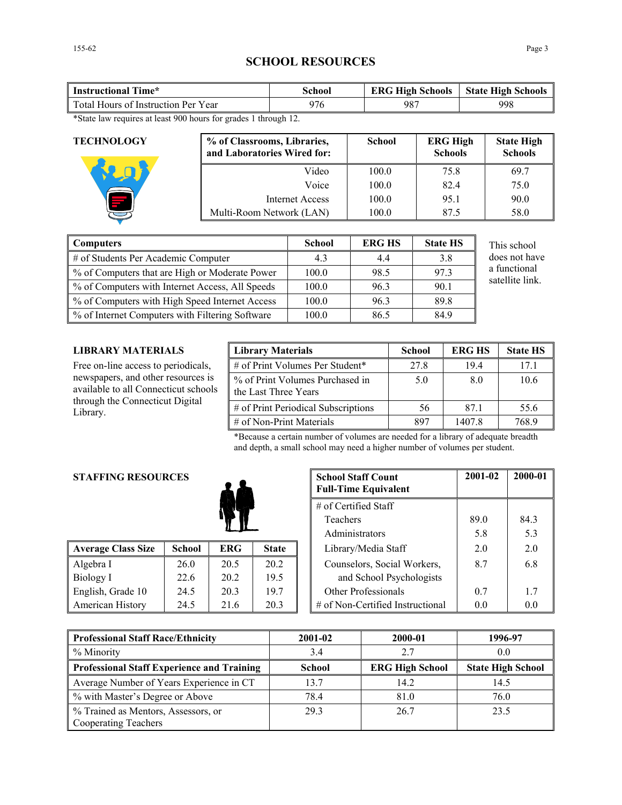# **SCHOOL RESOURCES**

| <b>Instructional Time*</b>          | School | <b>ERG High Schools</b> | <b>State High Schools</b> |
|-------------------------------------|--------|-------------------------|---------------------------|
| Total Hours of Instruction Per Year | 976    | 987                     | 998                       |
| . A A A                             |        |                         |                           |

\*State law requires at least 900 hours for grades 1 through 12.

| <b>TECHNOLOGY</b> | % of Classrooms, Libraries,<br>and Laboratories Wired for: | <b>School</b> | <b>ERG High</b><br><b>Schools</b> | <b>State High</b><br><b>Schools</b> |
|-------------------|------------------------------------------------------------|---------------|-----------------------------------|-------------------------------------|
|                   | Video                                                      | 100.0         | 75.8                              | 69.7                                |
|                   | Voice                                                      | 100.0         | 824                               | 75.0                                |
|                   | <b>Internet Access</b>                                     | 100.0         | 95.1                              | 90.0                                |
|                   | Multi-Room Network (LAN)                                   | 100.0         | 87.5                              | 58.0                                |

| Computers                                         | <b>School</b> | <b>ERG HS</b> | <b>State HS</b> | This school     |
|---------------------------------------------------|---------------|---------------|-----------------|-----------------|
| $\parallel$ # of Students Per Academic Computer   | 4.3           | 4.4           | 3.8             | does not have   |
| ■ % of Computers that are High or Moderate Power  | 100.0         | 98.5          | 97.3            | a functional    |
| % of Computers with Internet Access, All Speeds   | 100.0         | 96.3          | 90.1            | satellite link. |
| ■ % of Computers with High Speed Internet Access  | 100.0         | 96.3          | 89.8            |                 |
| ■ % of Internet Computers with Filtering Software | 100.0         | 86.5          | 84.9            |                 |

## **LIBRARY MATERIALS**

Free on-line access to periodicals, newspapers, and other resources is available to all Connecticut schools through the Connecticut Digital Library.

| <b>Library Materials</b>                                | School | <b>ERG HS</b> | <b>State HS</b> |
|---------------------------------------------------------|--------|---------------|-----------------|
| # of Print Volumes Per Student*                         | 27.8   | 194           | 17 1            |
| % of Print Volumes Purchased in<br>the Last Three Years | 5.0    | 80            | 10.6            |
| # of Print Periodical Subscriptions                     | 56     | 871           | 55.6            |
| $\#$ of Non-Print Materials                             | 897    | 1407.8        | 768.9           |

\*Because a certain number of volumes are needed for a library of adequate breadth and depth, a small school may need a higher number of volumes per student.

## **STAFFING RESOURCES**

| <b>Average Class Size</b> | <b>School</b> | <b>ERG</b> | <b>State</b> | Library/Media Staff<br>2.0              | 2.0 |
|---------------------------|---------------|------------|--------------|-----------------------------------------|-----|
| Algebra I                 | 26.0          | 20.5       | 20.2         | Counselors, Social Workers,<br>8.7      | 6.8 |
| Biology I                 | 22.6          | 20.2       | 19.5         | and School Psychologists                |     |
| English, Grade 10         | 24.5          | 20.3       | 19.7         | Other Professionals<br>0.7              | 1.7 |
| American History          | 24.5          | 21.6       | 20.3         | # of Non-Certified Instructional<br>0.0 | 0.0 |

| <b>School Staff Count</b><br><b>Full-Time Equivalent</b> | 2001-02        | 2000-01        |
|----------------------------------------------------------|----------------|----------------|
| $#$ of Certified Staff                                   |                |                |
| Teachers                                                 | 89.0           | 84.3           |
| Administrators                                           | 5.8            | 5.3            |
| Library/Media Staff                                      | 2 <sub>0</sub> | 2 <sub>0</sub> |
| Counselors, Social Workers,                              | 8.7            | 68             |
| and School Psychologists                                 |                |                |
| Other Professionals                                      | 0.7            | 17             |
| # of Non-Certified Instructional                         | ( )  ()        | ()()           |

| Professional Staff Race/Ethnicity                                    | 2001-02       | 2000-01                | 1996-97                  |
|----------------------------------------------------------------------|---------------|------------------------|--------------------------|
| % Minority                                                           | 3.4           | 2.7                    | 0.0                      |
| Professional Staff Experience and Training                           | <b>School</b> | <b>ERG High School</b> | <b>State High School</b> |
| Average Number of Years Experience in CT                             | 13.7          | 14.2                   | 14.5                     |
| % with Master's Degree or Above                                      | 78.4          | 81.0                   | 76.0                     |
| Ⅰ % Trained as Mentors, Assessors, or<br><b>Cooperating Teachers</b> | 29.3          | 26.7                   | 23.5                     |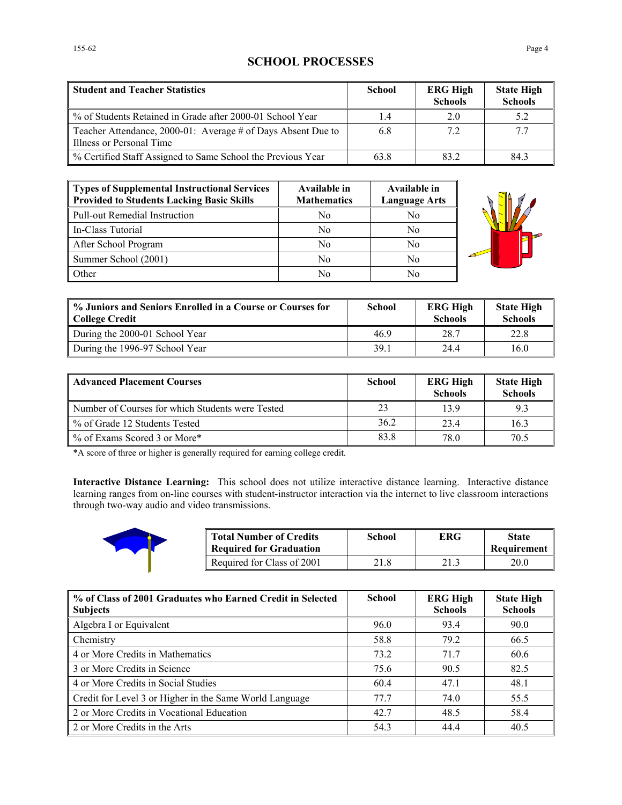# **SCHOOL PROCESSES**

| <b>Student and Teacher Statistics</b>                                                    | <b>School</b> | <b>ERG High</b><br><b>Schools</b> | <b>State High</b><br><b>Schools</b> |
|------------------------------------------------------------------------------------------|---------------|-----------------------------------|-------------------------------------|
| % of Students Retained in Grade after 2000-01 School Year                                | 1.4           | 2.0                               | 5.2                                 |
| Teacher Attendance, 2000-01: Average # of Days Absent Due to<br>Illness or Personal Time | 6.8           | 7.2                               | 77                                  |
| % Certified Staff Assigned to Same School the Previous Year                              | 63.8          | 832                               | 84.3                                |

| Types of Supplemental Instructional Services<br>Provided to Students Lacking Basic Skills | Available in<br><b>Mathematics</b> | Available in<br><b>Language Arts</b> |
|-------------------------------------------------------------------------------------------|------------------------------------|--------------------------------------|
| Pull-out Remedial Instruction                                                             | N <sub>0</sub>                     | No                                   |
| l In-Class Tutorial                                                                       | N <sub>0</sub>                     | No                                   |
| After School Program                                                                      | No                                 | No                                   |
| Summer School (2001)                                                                      | N <sub>0</sub>                     | No.                                  |
| <b>Other</b>                                                                              | No                                 | No                                   |



| % Juniors and Seniors Enrolled in a Course or Courses for<br>College Credit | <b>School</b> | <b>ERG High</b><br><b>Schools</b> | <b>State High</b><br><b>Schools</b> |
|-----------------------------------------------------------------------------|---------------|-----------------------------------|-------------------------------------|
| During the 2000-01 School Year                                              | 469           | 28.7                              | 22.8                                |
| During the 1996-97 School Year                                              | 39.1          | 244                               | 16.0                                |

| <b>Advanced Placement Courses</b>                | <b>School</b> | <b>ERG High</b><br><b>Schools</b> | <b>State High</b><br><b>Schools</b> |
|--------------------------------------------------|---------------|-----------------------------------|-------------------------------------|
| Number of Courses for which Students were Tested | 23            | 139                               | 9.3                                 |
| % of Grade 12 Students Tested                    | 36.2          | 23.4                              | 16.3                                |
| % of Exams Scored 3 or More*                     | 83.8          | 78.0                              | 70.5                                |

\*A score of three or higher is generally required for earning college credit.

**Interactive Distance Learning:** This school does not utilize interactive distance learning. Interactive distance learning ranges from on-line courses with student-instructor interaction via the internet to live classroom interactions through two-way audio and video transmissions.



| <b>Total Number of Credits</b><br><b>Required for Graduation</b> | School | <b>ERG</b> | <b>State</b><br>Requirement |
|------------------------------------------------------------------|--------|------------|-----------------------------|
| Required for Class of 2001                                       | 21.8   |            | 20.0                        |

| % of Class of 2001 Graduates who Earned Credit in Selected<br><b>Subjects</b> | <b>School</b> | <b>ERG High</b><br><b>Schools</b> | <b>State High</b><br><b>Schools</b> |
|-------------------------------------------------------------------------------|---------------|-----------------------------------|-------------------------------------|
|                                                                               |               |                                   |                                     |
| Algebra I or Equivalent                                                       | 96.0          | 93.4                              | 90.0                                |
| Chemistry                                                                     | 58.8          | 79.2                              | 66.5                                |
| 4 or More Credits in Mathematics                                              | 73.2          | 71.7                              | 60.6                                |
| 3 or More Credits in Science                                                  | 75.6          | 90.5                              | 82.5                                |
| 4 or More Credits in Social Studies                                           | 60.4          | 47.1                              | 48.1                                |
| Credit for Level 3 or Higher in the Same World Language                       | 77.7          | 74.0                              | 55.5                                |
| 2 or More Credits in Vocational Education                                     | 42.7          | 48.5                              | 58.4                                |
| 2 or More Credits in the Arts                                                 | 54.3          | 444                               | 40.5                                |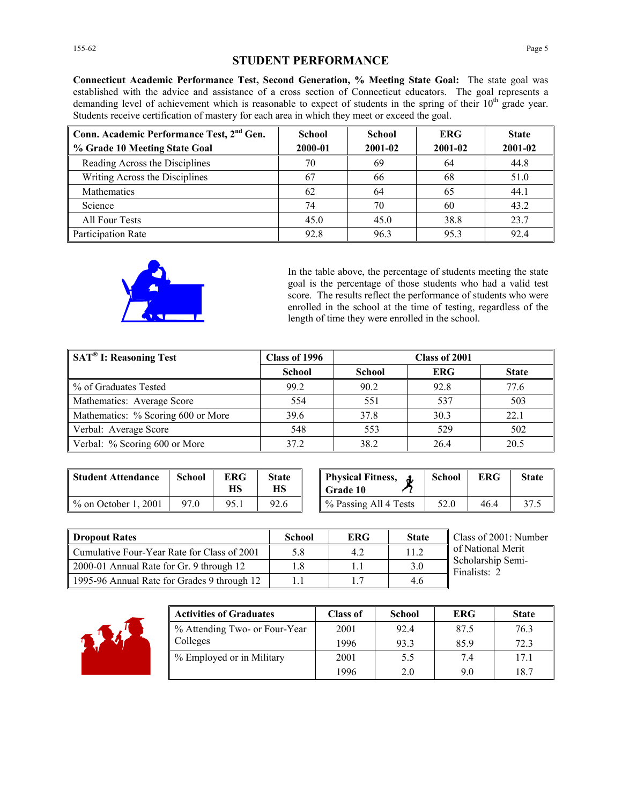# **STUDENT PERFORMANCE**

**Connecticut Academic Performance Test, Second Generation, % Meeting State Goal:** The state goal was established with the advice and assistance of a cross section of Connecticut educators. The goal represents a demanding level of achievement which is reasonable to expect of students in the spring of their 10<sup>th</sup> grade year. Students receive certification of mastery for each area in which they meet or exceed the goal.

| Conn. Academic Performance Test, 2 <sup>nd</sup> Gen.<br>% Grade 10 Meeting State Goal | School<br>2000-01 | <b>School</b><br>2001-02 | <b>ERG</b><br>2001-02 | <b>State</b><br>2001-02 |
|----------------------------------------------------------------------------------------|-------------------|--------------------------|-----------------------|-------------------------|
|                                                                                        |                   |                          |                       |                         |
| Reading Across the Disciplines                                                         | 70                | 69                       | 64                    | 44.8                    |
| Writing Across the Disciplines                                                         | 67                | 66                       | 68                    | 51.0                    |
| Mathematics                                                                            | 62                | 64                       | 65                    | 44.1                    |
| Science                                                                                | 74                | 70                       | 60                    | 43.2                    |
| All Four Tests                                                                         | 45.0              | 45.0                     | 38.8                  | 23.7                    |
| Participation Rate                                                                     | 92.8              | 96.3                     | 95.3                  | 92.4                    |



In the table above, the percentage of students meeting the state goal is the percentage of those students who had a valid test score. The results reflect the performance of students who were enrolled in the school at the time of testing, regardless of the length of time they were enrolled in the school.

| SAT <sup>®</sup> I: Reasoning Test | Class of 1996 | Class of 2001 |            |              |
|------------------------------------|---------------|---------------|------------|--------------|
|                                    | <b>School</b> | <b>School</b> | <b>ERG</b> | <b>State</b> |
| % of Graduates Tested              | 99.2          | 90.2          | 92.8       | 77.6         |
| Mathematics: Average Score         | 554           | 551           | 537        | 503          |
| Mathematics: % Scoring 600 or More | 39.6          | 37.8          | 30.3       | 22.1         |
| Verbal: Average Score              | 548           | 553           | 529        | 502          |
| Verbal: % Scoring 600 or More      | 372           | 38.2          | 26.4       | 20.5         |

| <b>Student Attendance</b> | School | ERG<br>НS | <b>State</b><br>НS | <b>Physical Fitness,</b><br><b>Grade 10</b> | School | <b>ERG</b> | State |
|---------------------------|--------|-----------|--------------------|---------------------------------------------|--------|------------|-------|
| $%$ on October 1, 2001    | 97.0   | 95.1      | 92.6               | % Passing All 4 Tests                       | 52.0   | 46.4       | 37.5  |

| <b>Physical Fitness,</b><br>l Grade 10 | <b>School</b> | <b>ERG</b> | <b>State</b> |
|----------------------------------------|---------------|------------|--------------|
| % Passing All 4 Tests                  | 52.0          | 464        | 37.          |

| <b>Dropout Rates</b>                        | School | <b>ERG</b> | <b>State</b> | Class of 2001: Number             |
|---------------------------------------------|--------|------------|--------------|-----------------------------------|
| Cumulative Four-Year Rate for Class of 2001 | 5.8    | 4.2        | 11.2         | of National Merit                 |
| 2000-01 Annual Rate for Gr. 9 through 12    | 1.8    |            | 3.0          | Scholarship Semi-<br>Finalists: 2 |
| 1995-96 Annual Rate for Grades 9 through 12 |        |            | 4.6          |                                   |



| <b>Activities of Graduates</b> | <b>Class of</b> | <b>School</b> | <b>ERG</b> | <b>State</b> |
|--------------------------------|-----------------|---------------|------------|--------------|
| % Attending Two- or Four-Year  | 2001            | 92.4          | 87.5       | 76.3         |
| Colleges                       | 1996            | 93.3          | 85.9       | 72.3         |
| % Employed or in Military      | 2001            | 5.5           | 7.4        | 17.1         |
|                                | 1996            | 2.0           | 9.0        | 18.7         |